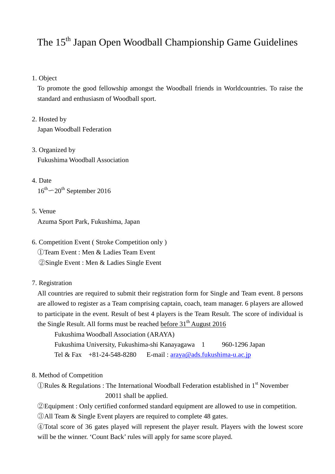## The 15<sup>th</sup> Japan Open Woodball Championship Game Guidelines

#### 1. Object

To promote the good fellowship amongst the Woodball friends in Worldcountries. To raise the standard and enthusiasm of Woodball sport.

2. Hosted by

Japan Woodball Federation

- 3. Organized by Fukushima Woodball Association
- 4. Date  $16^{th}$  $-20^{th}$  September 2016

#### 5. Venue

Azuma Sport Park, Fukushima, Japan

- 6. Competition Event ( Stroke Competition only ) ①Team Event : Men & Ladies Team Event ②Single Event : Men & Ladies Single Event
- 7. Registration

All countries are required to submit their registration form for Single and Team event. 8 persons are allowed to register as a Team comprising captain, coach, team manager. 6 players are allowed to participate in the event. Result of best 4 players is the Team Result. The score of individual is the Single Result. All forms must be reached before  $31<sup>th</sup>$  August 2016

Fukushima Woodball Association (ARAYA)

 Fukushima University, Fukushima-shi Kanayagawa 1 960-1296 Japan Tel & Fax  $+81-24-548-8280$  E-mail:  $araya@ads.fukushima- u.ac.jp$ 

- 8. Method of Competition
	- $\mathbb O$ Rules & Regulations : The International Woodball Federation established in 1<sup>st</sup> November 20011 shall be applied.
	- ②Equipment : Only certified conformed standard equipment are allowed to use in competition.

③All Team & Single Event players are required to complete 48 gates.

④Total score of 36 gates played will represent the player result. Players with the lowest score will be the winner. 'Count Back' rules will apply for same score played.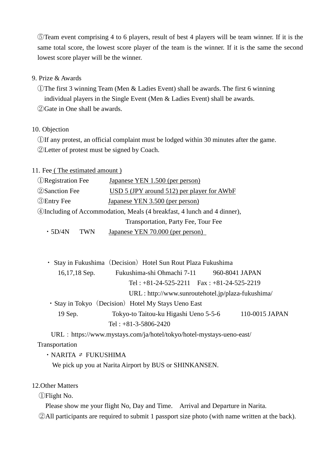⑤Team event comprising 4 to 6 players, result of best 4 players will be team winner. If it is the same total score, the lowest score player of the team is the winner. If it is the same the second lowest score player will be the winner.

#### 9. Prize & Awards

①The first 3 winning Team (Men & Ladies Event) shall be awards. The first 6 winning individual players in the Single Event (Men & Ladies Event) shall be awards.

②Gate in One shall be awards.

#### 10. Objection

①If any protest, an official complaint must be lodged within 30 minutes after the game. ②Letter of protest must be signed by Coach.

11. Fee ( The estimated amount )

| <b>ORegistration Fee</b>                                                        | Japanese YEN 1.500 (per person)            |  |  |  |
|---------------------------------------------------------------------------------|--------------------------------------------|--|--|--|
| <b>2</b> Sanction Fee                                                           | USD 5 (JPY around 512) per player for AWbF |  |  |  |
| <b>3</b> Entry Fee<br>Japanese YEN 3.500 (per person)                           |                                            |  |  |  |
| <b>4</b> Including of Accommodation, Meals (4 breakfast, 4 lunch and 4 dinner), |                                            |  |  |  |
|                                                                                 | Transportation, Party Fee, Tour Fee        |  |  |  |
| $\cdot$ 5D/4N<br><b>TWN</b>                                                     | Japanese YEN 70.000 (per person)           |  |  |  |

| · Stay in Fukushima (Decision) Hotel Sun Rout Plaza Fukushima |                        |                                               |  |                |
|---------------------------------------------------------------|------------------------|-----------------------------------------------|--|----------------|
| $16,17,18$ Sep.                                               |                        | Fukushima-shi Ohmachi 7-11 960-8041 JAPAN     |  |                |
|                                                               |                        | Tel: $+81-24-525-2211$ Fax: $+81-24-525-2219$ |  |                |
| URL: http://www.sunroutehotel.jp/plaza-fukushima/             |                        |                                               |  |                |
| • Stay in Tokyo (Decision) Hotel My Stays Ueno East           |                        |                                               |  |                |
| 19 Sep.                                                       |                        | Tokyo-to Taitou-ku Higashi Ueno 5-5-6         |  | 110-0015 JAPAN |
|                                                               | Tel: $+81-3-5806-2420$ |                                               |  |                |

URL: https://www.mystays.com/ja/hotel/tokyo/hotel-mystays-ueno-east/

#### Transportation

 $\cdot$  NARITA  $\geq$  FUKUSHIMA

We pick up you at Narita Airport by BUS or SHINKANSEN.

### 12.Other Matters

①Flight No.

Please show me your flight No, Day and Time. Arrival and Departure in Narita.

②All participants are required to submit 1 passport size photo (with name written at the back).